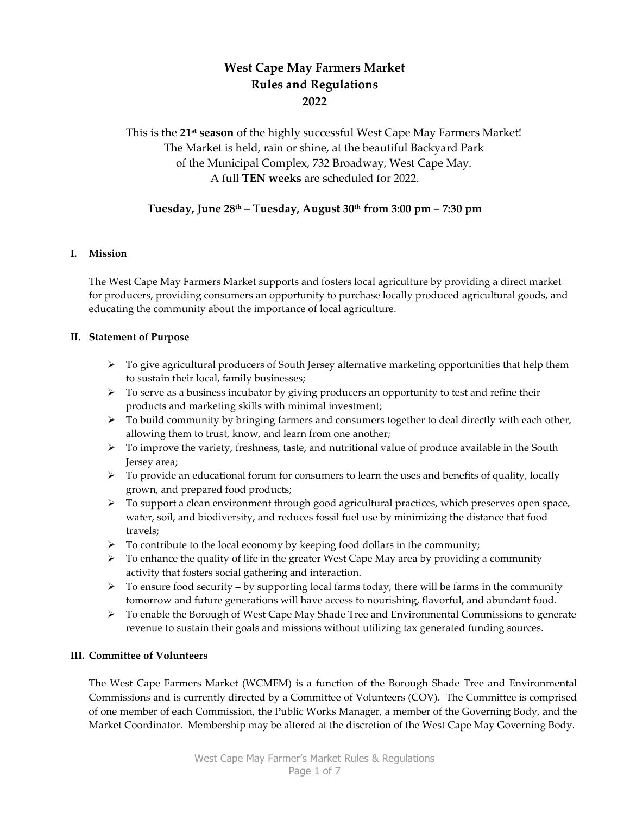# West Cape May Farmers Market Rules and Regulations 2022

This is the 21<sup>st</sup> season of the highly successful West Cape May Farmers Market! The Market is held, rain or shine, at the beautiful Backyard Park of the Municipal Complex, 732 Broadway, West Cape May. A full TEN weeks are scheduled for 2022.

# Tuesday, June 28th – Tuesday, August 30th from 3:00 pm – 7:30 pm

### I. Mission

The West Cape May Farmers Market supports and fosters local agriculture by providing a direct market for producers, providing consumers an opportunity to purchase locally produced agricultural goods, and educating the community about the importance of local agriculture.

### II. Statement of Purpose

- $\triangleright$  To give agricultural producers of South Jersey alternative marketing opportunities that help them to sustain their local, family businesses;
- $\triangleright$  To serve as a business incubator by giving producers an opportunity to test and refine their products and marketing skills with minimal investment;
- $\triangleright$  To build community by bringing farmers and consumers together to deal directly with each other, allowing them to trust, know, and learn from one another;
- $\triangleright$  To improve the variety, freshness, taste, and nutritional value of produce available in the South Jersey area;
- $\triangleright$  To provide an educational forum for consumers to learn the uses and benefits of quality, locally grown, and prepared food products;
- $\triangleright$  To support a clean environment through good agricultural practices, which preserves open space, water, soil, and biodiversity, and reduces fossil fuel use by minimizing the distance that food travels;
- $\triangleright$  To contribute to the local economy by keeping food dollars in the community;
- $\triangleright$  To enhance the quality of life in the greater West Cape May area by providing a community activity that fosters social gathering and interaction.
- $\triangleright$  To ensure food security by supporting local farms today, there will be farms in the community tomorrow and future generations will have access to nourishing, flavorful, and abundant food.
- $\triangleright$  To enable the Borough of West Cape May Shade Tree and Environmental Commissions to generate revenue to sustain their goals and missions without utilizing tax generated funding sources.

# III. Committee of Volunteers

The West Cape Farmers Market (WCMFM) is a function of the Borough Shade Tree and Environmental Commissions and is currently directed by a Committee of Volunteers (COV). The Committee is comprised of one member of each Commission, the Public Works Manager, a member of the Governing Body, and the Market Coordinator. Membership may be altered at the discretion of the West Cape May Governing Body.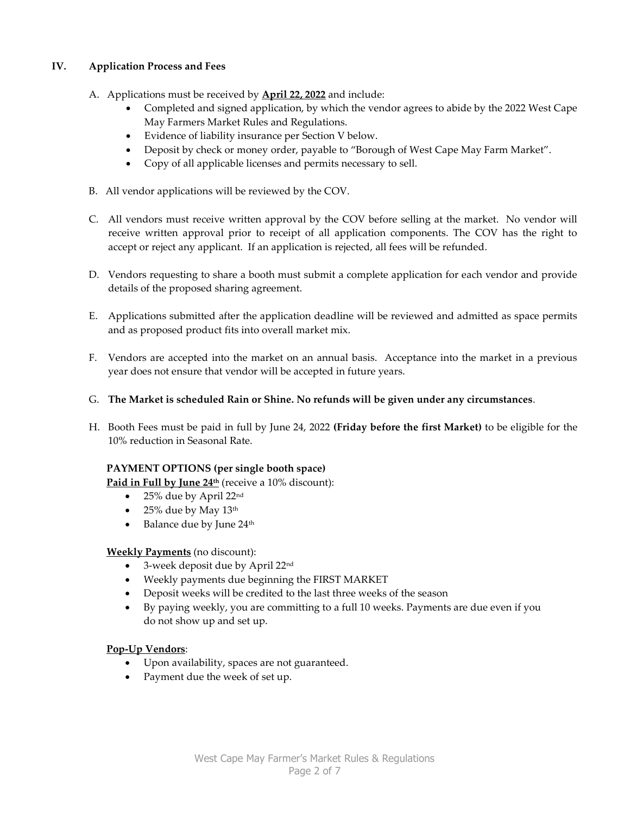# IV. Application Process and Fees

- A. Applications must be received by **April 22, 2022** and include:
	- Completed and signed application, by which the vendor agrees to abide by the 2022 West Cape May Farmers Market Rules and Regulations.
	- Evidence of liability insurance per Section V below.
	- Deposit by check or money order, payable to "Borough of West Cape May Farm Market".
	- Copy of all applicable licenses and permits necessary to sell.
- B. All vendor applications will be reviewed by the COV.
- C. All vendors must receive written approval by the COV before selling at the market. No vendor will receive written approval prior to receipt of all application components. The COV has the right to accept or reject any applicant. If an application is rejected, all fees will be refunded.
- D. Vendors requesting to share a booth must submit a complete application for each vendor and provide details of the proposed sharing agreement.
- E. Applications submitted after the application deadline will be reviewed and admitted as space permits and as proposed product fits into overall market mix.
- F. Vendors are accepted into the market on an annual basis. Acceptance into the market in a previous year does not ensure that vendor will be accepted in future years.
- G. The Market is scheduled Rain or Shine. No refunds will be given under any circumstances.
- H. Booth Fees must be paid in full by June 24, 2022 (Friday before the first Market) to be eligible for the 10% reduction in Seasonal Rate.

# PAYMENT OPTIONS (per single booth space)

Paid in Full by June 24<sup>th</sup> (receive a 10% discount):

- 25% due by April 22<sup>nd</sup>
- $\bullet$  25% due by May 13<sup>th</sup>
- $\bullet$  Balance due by June 24<sup>th</sup>

# Weekly Payments (no discount):

- 3-week deposit due by April 22nd
- Weekly payments due beginning the FIRST MARKET
- Deposit weeks will be credited to the last three weeks of the season
- By paying weekly, you are committing to a full 10 weeks. Payments are due even if you do not show up and set up.

# Pop-Up Vendors:

- Upon availability, spaces are not guaranteed.
- Payment due the week of set up.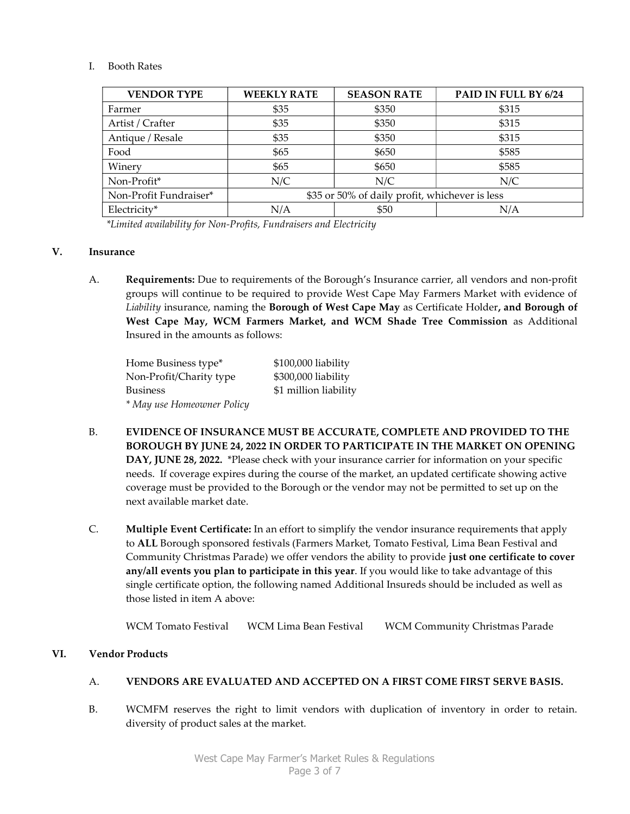### I. Booth Rates

| <b>VENDOR TYPE</b>     | <b>WEEKLY RATE</b>                             | <b>SEASON RATE</b> | PAID IN FULL BY 6/24 |
|------------------------|------------------------------------------------|--------------------|----------------------|
| Farmer                 | \$35                                           | \$350              | \$315                |
| Artist / Crafter       | \$35                                           | \$350              | \$315                |
| Antique / Resale       | \$35                                           | \$350              | \$315                |
| Food                   | \$65                                           | \$650              | \$585                |
| Winery                 | \$65                                           | \$650              | \$585                |
| Non-Profit*            | N/C                                            | N/C                | N/C                  |
| Non-Profit Fundraiser* | \$35 or 50% of daily profit, whichever is less |                    |                      |
| Electricity*           | N/A                                            | \$50               | N/A                  |

\*Limited availability for Non-Profits, Fundraisers and Electricity

#### V. Insurance

A. Requirements: Due to requirements of the Borough's Insurance carrier, all vendors and non-profit groups will continue to be required to provide West Cape May Farmers Market with evidence of Liability insurance, naming the Borough of West Cape May as Certificate Holder, and Borough of West Cape May, WCM Farmers Market, and WCM Shade Tree Commission as Additional Insured in the amounts as follows:

| Home Business type*        | \$100,000 liability   |
|----------------------------|-----------------------|
| Non-Profit/Charity type    | \$300,000 liability   |
| <b>Business</b>            | \$1 million liability |
| * May use Homeowner Policy |                       |

- B. EVIDENCE OF INSURANCE MUST BE ACCURATE, COMPLETE AND PROVIDED TO THE BOROUGH BY JUNE 24, 2022 IN ORDER TO PARTICIPATE IN THE MARKET ON OPENING DAY, JUNE 28, 2022. \*Please check with your insurance carrier for information on your specific needs. If coverage expires during the course of the market, an updated certificate showing active coverage must be provided to the Borough or the vendor may not be permitted to set up on the next available market date.
- C. Multiple Event Certificate: In an effort to simplify the vendor insurance requirements that apply to ALL Borough sponsored festivals (Farmers Market, Tomato Festival, Lima Bean Festival and Community Christmas Parade) we offer vendors the ability to provide just one certificate to cover any/all events you plan to participate in this year. If you would like to take advantage of this single certificate option, the following named Additional Insureds should be included as well as those listed in item A above:

WCM Tomato Festival WCM Lima Bean Festival WCM Community Christmas Parade

# VI. Vendor Products

#### A. VENDORS ARE EVALUATED AND ACCEPTED ON A FIRST COME FIRST SERVE BASIS.

B. WCMFM reserves the right to limit vendors with duplication of inventory in order to retain. diversity of product sales at the market.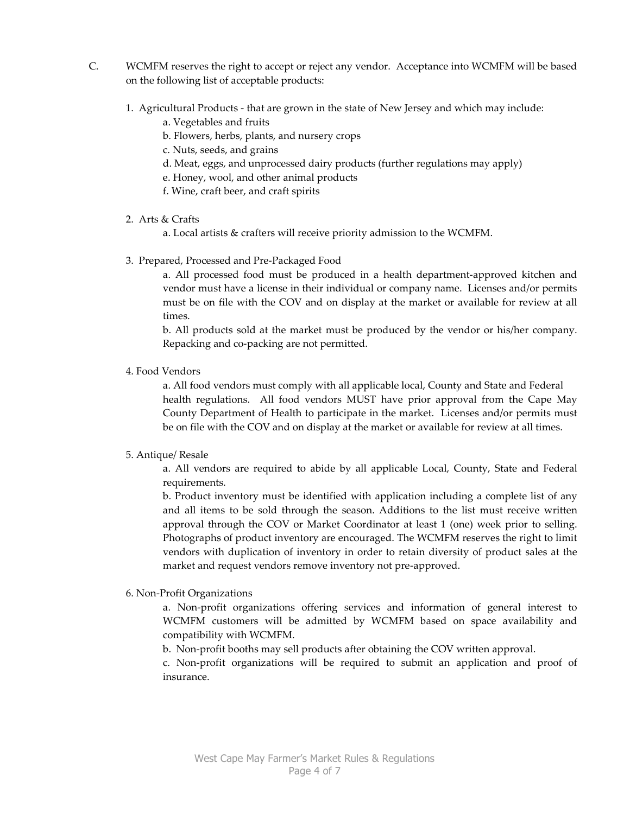- C. WCMFM reserves the right to accept or reject any vendor. Acceptance into WCMFM will be based on the following list of acceptable products:
	- 1. Agricultural Products that are grown in the state of New Jersey and which may include:
		- a. Vegetables and fruits
		- b. Flowers, herbs, plants, and nursery crops
		- c. Nuts, seeds, and grains
		- d. Meat, eggs, and unprocessed dairy products (further regulations may apply)
		- e. Honey, wool, and other animal products
		- f. Wine, craft beer, and craft spirits
	- 2. Arts & Crafts
		- a. Local artists & crafters will receive priority admission to the WCMFM.
	- 3. Prepared, Processed and Pre-Packaged Food

a. All processed food must be produced in a health department-approved kitchen and vendor must have a license in their individual or company name. Licenses and/or permits must be on file with the COV and on display at the market or available for review at all times.

b. All products sold at the market must be produced by the vendor or his/her company. Repacking and co-packing are not permitted.

4. Food Vendors

a. All food vendors must comply with all applicable local, County and State and Federal health regulations. All food vendors MUST have prior approval from the Cape May County Department of Health to participate in the market. Licenses and/or permits must be on file with the COV and on display at the market or available for review at all times.

#### 5. Antique/ Resale

a. All vendors are required to abide by all applicable Local, County, State and Federal requirements.

b. Product inventory must be identified with application including a complete list of any and all items to be sold through the season. Additions to the list must receive written approval through the COV or Market Coordinator at least 1 (one) week prior to selling. Photographs of product inventory are encouraged. The WCMFM reserves the right to limit vendors with duplication of inventory in order to retain diversity of product sales at the market and request vendors remove inventory not pre-approved.

#### 6. Non-Profit Organizations

a. Non-profit organizations offering services and information of general interest to WCMFM customers will be admitted by WCMFM based on space availability and compatibility with WCMFM.

b. Non-profit booths may sell products after obtaining the COV written approval.

c. Non-profit organizations will be required to submit an application and proof of insurance.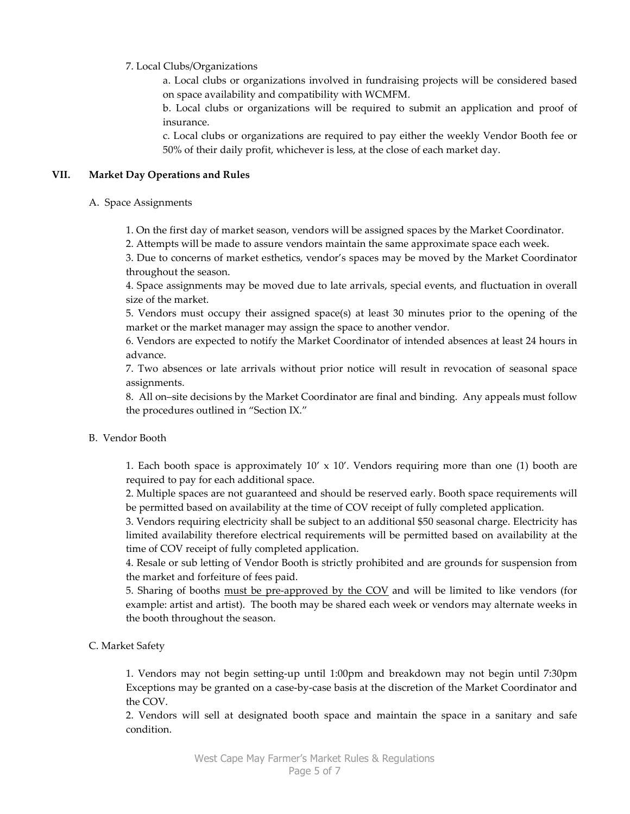### 7. Local Clubs/Organizations

a. Local clubs or organizations involved in fundraising projects will be considered based on space availability and compatibility with WCMFM.

b. Local clubs or organizations will be required to submit an application and proof of insurance.

c. Local clubs or organizations are required to pay either the weekly Vendor Booth fee or 50% of their daily profit, whichever is less, at the close of each market day.

### VII. Market Day Operations and Rules

#### A. Space Assignments

1. On the first day of market season, vendors will be assigned spaces by the Market Coordinator.

2. Attempts will be made to assure vendors maintain the same approximate space each week.

3. Due to concerns of market esthetics, vendor's spaces may be moved by the Market Coordinator throughout the season.

4. Space assignments may be moved due to late arrivals, special events, and fluctuation in overall size of the market.

5. Vendors must occupy their assigned space(s) at least 30 minutes prior to the opening of the market or the market manager may assign the space to another vendor.

6. Vendors are expected to notify the Market Coordinator of intended absences at least 24 hours in advance.

7. Two absences or late arrivals without prior notice will result in revocation of seasonal space assignments.

8. All on–site decisions by the Market Coordinator are final and binding. Any appeals must follow the procedures outlined in "Section IX."

# B. Vendor Booth

1. Each booth space is approximately  $10' \times 10'$ . Vendors requiring more than one (1) booth are required to pay for each additional space.

2. Multiple spaces are not guaranteed and should be reserved early. Booth space requirements will be permitted based on availability at the time of COV receipt of fully completed application.

3. Vendors requiring electricity shall be subject to an additional \$50 seasonal charge. Electricity has limited availability therefore electrical requirements will be permitted based on availability at the time of COV receipt of fully completed application.

4. Resale or sub letting of Vendor Booth is strictly prohibited and are grounds for suspension from the market and forfeiture of fees paid.

5. Sharing of booths must be pre-approved by the COV and will be limited to like vendors (for example: artist and artist). The booth may be shared each week or vendors may alternate weeks in the booth throughout the season.

# C. Market Safety

1. Vendors may not begin setting-up until 1:00pm and breakdown may not begin until 7:30pm Exceptions may be granted on a case-by-case basis at the discretion of the Market Coordinator and the COV.

2. Vendors will sell at designated booth space and maintain the space in a sanitary and safe condition.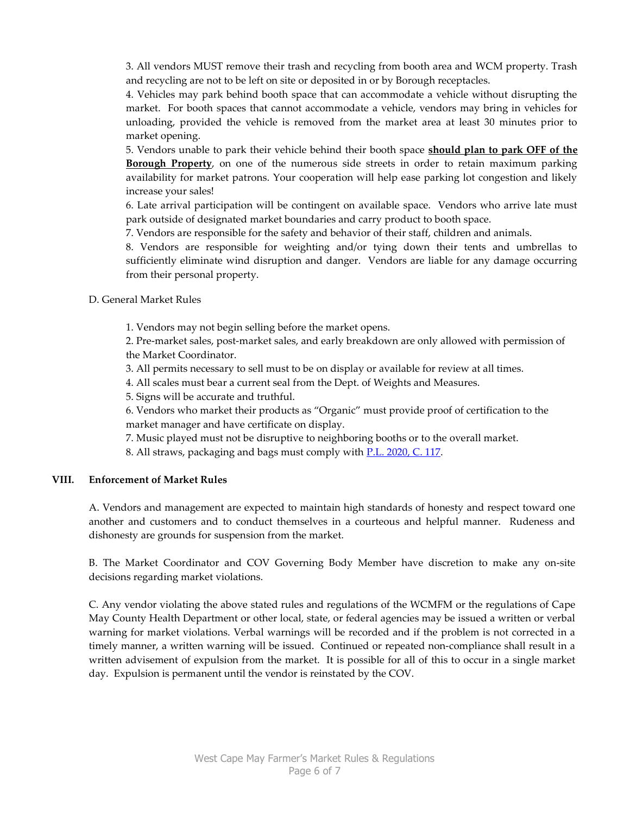3. All vendors MUST remove their trash and recycling from booth area and WCM property. Trash and recycling are not to be left on site or deposited in or by Borough receptacles.

4. Vehicles may park behind booth space that can accommodate a vehicle without disrupting the market. For booth spaces that cannot accommodate a vehicle, vendors may bring in vehicles for unloading, provided the vehicle is removed from the market area at least 30 minutes prior to market opening.

5. Vendors unable to park their vehicle behind their booth space should plan to park OFF of the **Borough Property**, on one of the numerous side streets in order to retain maximum parking availability for market patrons. Your cooperation will help ease parking lot congestion and likely increase your sales!

6. Late arrival participation will be contingent on available space. Vendors who arrive late must park outside of designated market boundaries and carry product to booth space.

7. Vendors are responsible for the safety and behavior of their staff, children and animals.

8. Vendors are responsible for weighting and/or tying down their tents and umbrellas to sufficiently eliminate wind disruption and danger. Vendors are liable for any damage occurring from their personal property.

D. General Market Rules

1. Vendors may not begin selling before the market opens.

2. Pre-market sales, post-market sales, and early breakdown are only allowed with permission of the Market Coordinator.

3. All permits necessary to sell must to be on display or available for review at all times.

4. All scales must bear a current seal from the Dept. of Weights and Measures.

5. Signs will be accurate and truthful.

6. Vendors who market their products as "Organic" must provide proof of certification to the market manager and have certificate on display.

7. Music played must not be disruptive to neighboring booths or to the overall market.

8. All straws, packaging and bags must comply with **P.L. 2020, C. 117.** 

#### VIII. Enforcement of Market Rules

A. Vendors and management are expected to maintain high standards of honesty and respect toward one another and customers and to conduct themselves in a courteous and helpful manner. Rudeness and dishonesty are grounds for suspension from the market.

B. The Market Coordinator and COV Governing Body Member have discretion to make any on-site decisions regarding market violations.

C. Any vendor violating the above stated rules and regulations of the WCMFM or the regulations of Cape May County Health Department or other local, state, or federal agencies may be issued a written or verbal warning for market violations. Verbal warnings will be recorded and if the problem is not corrected in a timely manner, a written warning will be issued. Continued or repeated non-compliance shall result in a written advisement of expulsion from the market. It is possible for all of this to occur in a single market day. Expulsion is permanent until the vendor is reinstated by the COV.